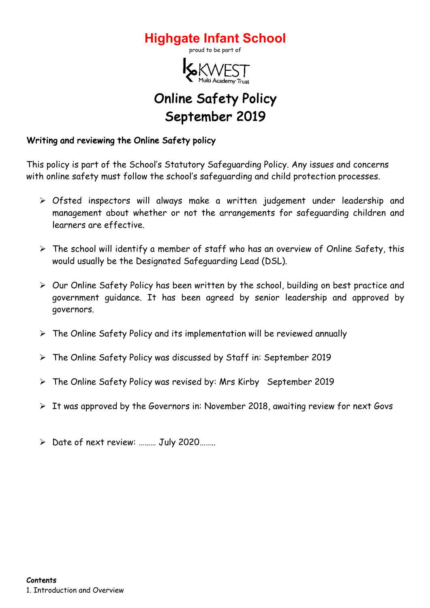



# Online Safety Policy September 2019

# Writing and reviewing the Online Safety policy

This policy is part of the School's Statutory Safeguarding Policy. Any issues and concerns with online safety must follow the school's safeguarding and child protection processes.

- Ø Ofsted inspectors will always make a written judgement under leadership and management about whether or not the arrangements for safeguarding children and learners are effective.
- $\triangleright$  The school will identify a member of staff who has an overview of Online Safety, this would usually be the Designated Safeguarding Lead (DSL).
- $\triangleright$  Our Online Safety Policy has been written by the school, building on best practice and government guidance. It has been agreed by senior leadership and approved by governors.
- $\triangleright$  The Online Safety Policy and its implementation will be reviewed annually
- $\triangleright$  The Online Safety Policy was discussed by Staff in: September 2019
- $\triangleright$  The Online Safety Policy was revised by: Mrs Kirby September 2019
- $\triangleright$  It was approved by the Governors in: November 2018, awaiting review for next Govs
- Ø Date of next review: ……… July 2020……..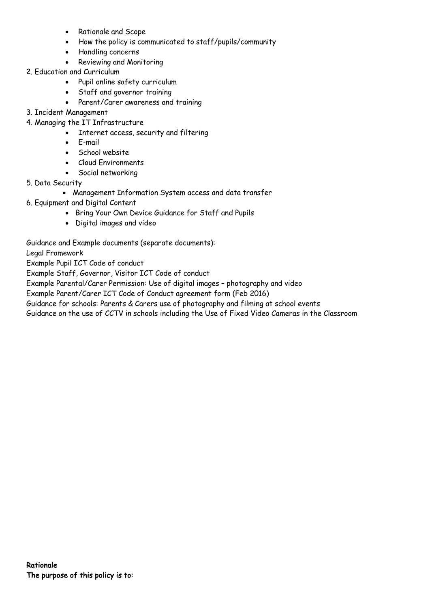- Rationale and Scope
- How the policy is communicated to staff/pupils/community
- Handling concerns
- Reviewing and Monitoring
- 2. Education and Curriculum
	- Pupil online safety curriculum
	- Staff and governor training
	- Parent/Carer awareness and training
- 3. Incident Management
- 4. Managing the IT Infrastructure
	- Internet access, security and filtering
	- E-mail
	- School website
	- Cloud Environments
	- Social networking
- 5. Data Security
	- Management Information System access and data transfer
- 6. Equipment and Digital Content
	- Bring Your Own Device Guidance for Staff and Pupils
	- Digital images and video

Guidance and Example documents (separate documents):

Legal Framework

Example Pupil ICT Code of conduct

Example Staff, Governor, Visitor ICT Code of conduct

Example Parental/Carer Permission: Use of digital images – photography and video

Example Parent/Carer ICT Code of Conduct agreement form (Feb 2016)

Guidance for schools: Parents & Carers use of photography and filming at school events

Guidance on the use of CCTV in schools including the Use of Fixed Video Cameras in the Classroom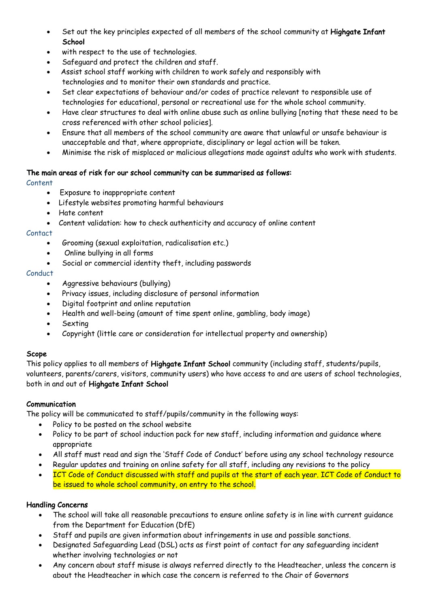- Set out the key principles expected of all members of the school community at Highgate Infant **School**
- with respect to the use of technologies.
- Safeguard and protect the children and staff.
- Assist school staff working with children to work safely and responsibly with technologies and to monitor their own standards and practice.
- Set clear expectations of behaviour and/or codes of practice relevant to responsible use of technologies for educational, personal or recreational use for the whole school community.
- Have clear structures to deal with online abuse such as online bullying [noting that these need to be cross referenced with other school policies].
- Ensure that all members of the school community are aware that unlawful or unsafe behaviour is unacceptable and that, where appropriate, disciplinary or legal action will be taken.
- Minimise the risk of misplaced or malicious allegations made against adults who work with students.

# The main areas of risk for our school community can be summarised as follows:

# Content

- Exposure to inappropriate content
- Lifestyle websites promoting harmful behaviours
- Hate content
- Content validation: how to check authenticity and accuracy of online content

# **Contact**

- Grooming (sexual exploitation, radicalisation etc.)
- Online bullying in all forms
- Social or commercial identity theft, including passwords

# Conduct

- Aggressive behaviours (bullying)
- Privacy issues, including disclosure of personal information
- Digital footprint and online reputation
- Health and well-being (amount of time spent online, gambling, body image)
- **Sexting**
- Copyright (little care or consideration for intellectual property and ownership)

# Scope

This policy applies to all members of Highgate Infant School community (including staff, students/pupils, volunteers, parents/carers, visitors, community users) who have access to and are users of school technologies, both in and out of Highgate Infant School

# Communication

The policy will be communicated to staff/pupils/community in the following ways:

- Policy to be posted on the school website
- Policy to be part of school induction pack for new staff, including information and guidance where appropriate
- All staff must read and sign the 'Staff Code of Conduct' before using any school technology resource
- Regular updates and training on online safety for all staff, including any revisions to the policy
- ICT Code of Conduct discussed with staff and pupils at the start of each year. ICT Code of Conduct to be issued to whole school community, on entry to the school.

# Handling Concerns

- The school will take all reasonable precautions to ensure online safety is in line with current guidance from the Department for Education (DfE)
- Staff and pupils are given information about infringements in use and possible sanctions.
- Designated Safeguarding Lead (DSL) acts as first point of contact for any safeguarding incident whether involving technologies or not
- Any concern about staff misuse is always referred directly to the Headteacher, unless the concern is about the Headteacher in which case the concern is referred to the Chair of Governors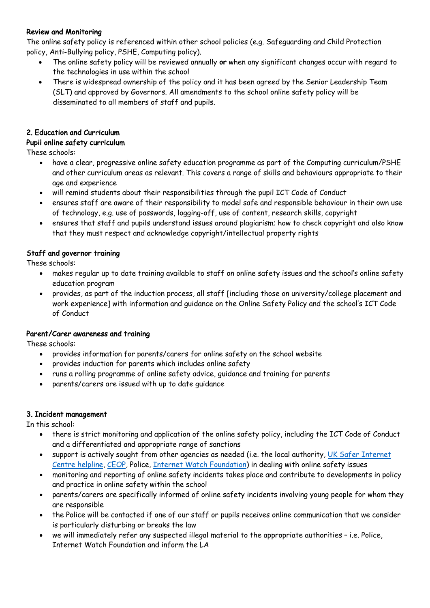# Review and Monitoring

The online safety policy is referenced within other school policies (e.g. Safeguarding and Child Protection policy, Anti-Bullying policy, PSHE, Computing policy).

- The online safety policy will be reviewed annually or when any significant changes occur with regard to the technologies in use within the school
- There is widespread ownership of the policy and it has been agreed by the Senior Leadership Team (SLT) and approved by Governors. All amendments to the school online safety policy will be disseminated to all members of staff and pupils.

# 2. Education and Curriculum

# Pupil online safety curriculum

These schools:

- have a clear, progressive online safety education programme as part of the Computing curriculum/PSHE and other curriculum areas as relevant. This covers a range of skills and behaviours appropriate to their age and experience
- will remind students about their responsibilities through the pupil ICT Code of Conduct
- ensures staff are aware of their responsibility to model safe and responsible behaviour in their own use of technology, e.g. use of passwords, logging-off, use of content, research skills, copyright
- ensures that staff and pupils understand issues around plagiarism; how to check copyright and also know that they must respect and acknowledge copyright/intellectual property rights

# Staff and governor training

These schools:

- makes regular up to date training available to staff on online safety issues and the school's online safety education program
- provides, as part of the induction process, all staff [including those on university/college placement and work experience] with information and guidance on the Online Safety Policy and the school's ICT Code of Conduct

# Parent/Carer awareness and training

These schools:

- provides information for parents/carers for online safety on the school website
- provides induction for parents which includes online safety
- runs a rolling programme of online safety advice, guidance and training for parents
- parents/carers are issued with up to date guidance

# 3. Incident management

In this school:

- there is strict monitoring and application of the online safety policy, including the ICT Code of Conduct and a differentiated and appropriate range of sanctions
- support is actively sought from other agencies as needed (i.e. the local authority, UK Safer Internet Centre helpline, CEOP, Police, Internet Watch Foundation) in dealing with online safety issues
- monitoring and reporting of online safety incidents takes place and contribute to developments in policy and practice in online safety within the school
- parents/carers are specifically informed of online safety incidents involving young people for whom they are responsible
- the Police will be contacted if one of our staff or pupils receives online communication that we consider is particularly disturbing or breaks the law
- we will immediately refer any suspected illegal material to the appropriate authorities i.e. Police, Internet Watch Foundation and inform the LA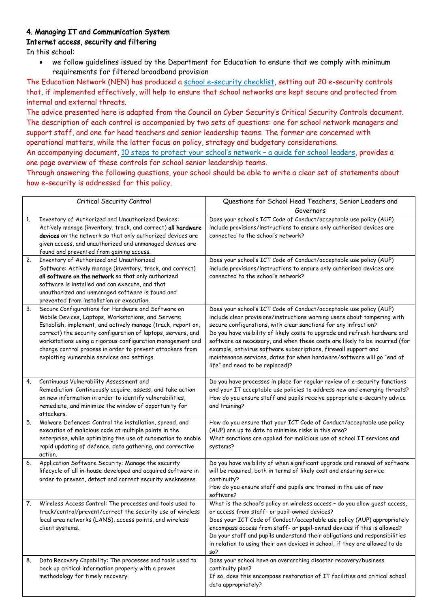# 4. Managing IT and Communication System

# Internet access, security and filtering

In this school:

• we follow guidelines issued by the Department for Education to ensure that we comply with minimum requirements for filtered broadband provision

The Education Network (NEN) has produced a school e-security checklist, setting out 20 e-security controls that, if implemented effectively, will help to ensure that school networks are kept secure and protected from internal and external threats.

The advice presented here is adapted from the Council on Cyber Security's Critical Security Controls document. The description of each control is accompanied by two sets of questions: one for school network managers and support staff, and one for head teachers and senior leadership teams. The former are concerned with operational matters, while the latter focus on policy, strategy and budgetary considerations. An accompanying document, 10 steps to protect your school's network - a quide for school leaders, provides a

one page overview of these controls for school senior leadership teams.

Through answering the following questions, your school should be able to write a clear set of statements about how e-security is addressed for this policy.

|    | Critical Security Control                                                                                                                                                                                                                                                                                                                                                                                            | Questions for School Head Teachers, Senior Leaders and<br>Governors                                                                                                                                                                                                                                                                                                                                                                                                                                                                                           |
|----|----------------------------------------------------------------------------------------------------------------------------------------------------------------------------------------------------------------------------------------------------------------------------------------------------------------------------------------------------------------------------------------------------------------------|---------------------------------------------------------------------------------------------------------------------------------------------------------------------------------------------------------------------------------------------------------------------------------------------------------------------------------------------------------------------------------------------------------------------------------------------------------------------------------------------------------------------------------------------------------------|
| 1. | Inventory of Authorized and Unauthorized Devices:<br>Actively manage (inventory, track, and correct) all hardware<br>devices on the network so that only authorized devices are<br>given access, and unauthorized and unmanaged devices are<br>found and prevented from gaining access.                                                                                                                              | Does your school's ICT Code of Conduct/acceptable use policy (AUP)<br>include provisions/instructions to ensure only authorised devices are<br>connected to the school's network?                                                                                                                                                                                                                                                                                                                                                                             |
| 2. | Inventory of Authorized and Unauthorized<br>Software: Actively manage (inventory, track, and correct)<br>all software on the network so that only authorized<br>software is installed and can execute, and that<br>unauthorized and unmanaged software is found and<br>prevented from installation or execution.                                                                                                     | Does your school's ICT Code of Conduct/acceptable use policy (AUP)<br>include provisions/instructions to ensure only authorised devices are<br>connected to the school's network?                                                                                                                                                                                                                                                                                                                                                                             |
| 3. | Secure Configurations for Hardware and Software on<br>Mobile Devices, Laptops, Workstations, and Servers:<br>Establish, implement, and actively manage (track, report on,<br>correct) the security configuration of laptops, servers, and<br>workstations using a rigorous configuration management and<br>change control process in order to prevent attackers from<br>exploiting vulnerable services and settings. | Does your school's ICT Code of Conduct/acceptable use policy (AUP)<br>include clear provisions/instructions warning users about tampering with<br>secure configurations, with clear sanctions for any infraction?<br>Do you have visibility of likely costs to upgrade and refresh hardware and<br>software as necessary, and when these costs are likely to be incurred (for<br>example, antivirus software subscriptions, firewall support and<br>maintenance services, dates for when hardware/software will go "end of<br>life" and need to be replaced)? |
| 4. | Continuous Vulnerability Assessment and<br>Remediation: Continuously acquire, assess, and take action<br>on new information in order to identify vulnerabilities,<br>remediate, and minimize the window of opportunity for<br>attackers.                                                                                                                                                                             | Do you have processes in place for regular review of e-security functions<br>and your IT acceptable use policies to address new and emerging threats?<br>How do you ensure staff and pupils receive appropriate e-security advice<br>and training?                                                                                                                                                                                                                                                                                                            |
| 5. | Malware Defences: Control the installation, spread, and<br>execution of malicious code at multiple points in the<br>enterprise, while optimizing the use of automation to enable<br>rapid updating of defence, data gathering, and corrective<br>action.                                                                                                                                                             | How do you ensure that your ICT Code of Conduct/acceptable use policy<br>(AUP) are up to date to minimise risks in this area?<br>What sanctions are applied for malicious use of school IT services and<br>systems?                                                                                                                                                                                                                                                                                                                                           |
| 6. | Application Software Security: Manage the security<br>lifecycle of all in-house developed and acquired software in<br>order to prevent, detect and correct security weaknesses                                                                                                                                                                                                                                       | Do you have visibility of when significant upgrade and renewal of software<br>will be required, both in terms of likely cost and ensuring service<br>continuity?<br>How do you ensure staff and pupils are trained in the use of new<br>software?                                                                                                                                                                                                                                                                                                             |
| 7. | Wireless Access Control: The processes and tools used to<br>track/control/prevent/correct the security use of wireless<br>local area networks (LANS), access points, and wireless<br>client systems.                                                                                                                                                                                                                 | What is the school's policy on wireless access - do you allow guest access,<br>or access from staff- or pupil-owned devices?<br>Does your ICT Code of Conduct/acceptable use policy (AUP) appropriately<br>encompass access from staff- or pupil-owned devices if this is allowed?<br>Do your staff and pupils understand their obligations and responsibilities<br>in relation to using their own devices in school, if they are allowed to do<br>so?                                                                                                        |
| 8. | Data Recovery Capability: The processes and tools used to<br>back up critical information properly with a proven<br>methodology for timely recovery.                                                                                                                                                                                                                                                                 | Does your school have an overarching disaster recovery/business<br>continuity plan?<br>If so, does this encompass restoration of IT facilities and critical school<br>data appropriately?                                                                                                                                                                                                                                                                                                                                                                     |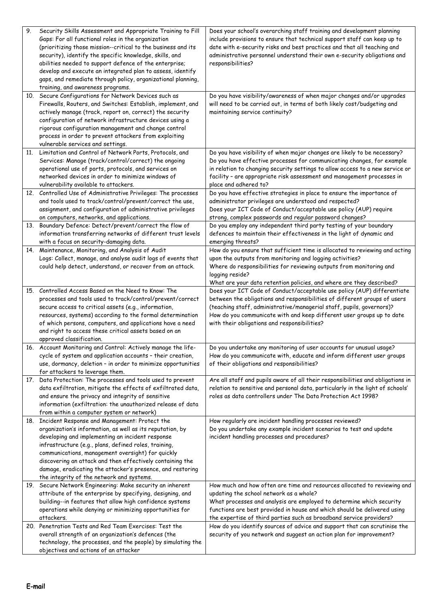| 9.  | Security Skills Assessment and Appropriate Training to Fill<br>Gaps: For all functional roles in the organization<br>(prioritizing those mission--critical to the business and its<br>security), identify the specific knowledge, skills, and<br>abilities needed to support defence of the enterprise;<br>develop and execute an integrated plan to assess, identify<br>gaps, and remediate through policy, organizational planning,<br>training, and awareness programs.<br>10. Secure Configurations for Network Devices such as | Does your school's overarching staff training and development planning<br>include provisions to ensure that technical support staff can keep up to<br>date with e-security risks and best practices and that all teaching and<br>administrative personnel understand their own e-security obligations and<br>responsibilities?<br>Do you have visibility/awareness of when major changes and/or upgrades |
|-----|-------------------------------------------------------------------------------------------------------------------------------------------------------------------------------------------------------------------------------------------------------------------------------------------------------------------------------------------------------------------------------------------------------------------------------------------------------------------------------------------------------------------------------------|----------------------------------------------------------------------------------------------------------------------------------------------------------------------------------------------------------------------------------------------------------------------------------------------------------------------------------------------------------------------------------------------------------|
|     | Firewalls, Routers, and Switches: Establish, implement, and<br>actively manage (track, report on, correct) the security<br>configuration of network infrastructure devices using a<br>rigorous configuration management and change control<br>process in order to prevent attackers from exploiting<br>vulnerable services and settings.                                                                                                                                                                                            | will need to be carried out, in terms of both likely cost/budgeting and<br>maintaining service continuity?                                                                                                                                                                                                                                                                                               |
| 11. | Limitation and Control of Network Ports, Protocols, and                                                                                                                                                                                                                                                                                                                                                                                                                                                                             | Do you have visibility of when major changes are likely to be necessary?                                                                                                                                                                                                                                                                                                                                 |
|     | Services: Manage (track/control/correct) the ongoing                                                                                                                                                                                                                                                                                                                                                                                                                                                                                | Do you have effective processes for communicating changes, for example                                                                                                                                                                                                                                                                                                                                   |
|     | operational use of ports, protocols, and services on                                                                                                                                                                                                                                                                                                                                                                                                                                                                                | in relation to changing security settings to allow access to a new service or                                                                                                                                                                                                                                                                                                                            |
|     | networked devices in order to minimize windows of                                                                                                                                                                                                                                                                                                                                                                                                                                                                                   | facility - are appropriate risk assessment and management processes in                                                                                                                                                                                                                                                                                                                                   |
|     | vulnerability available to attackers.                                                                                                                                                                                                                                                                                                                                                                                                                                                                                               | place and adhered to?                                                                                                                                                                                                                                                                                                                                                                                    |
|     | 12. Controlled Use of Administrative Privileges: The processes                                                                                                                                                                                                                                                                                                                                                                                                                                                                      | Do you have effective strategies in place to ensure the importance of                                                                                                                                                                                                                                                                                                                                    |
|     | and tools used to track/control/prevent/correct the use,                                                                                                                                                                                                                                                                                                                                                                                                                                                                            | administrator privileges are understood and respected?                                                                                                                                                                                                                                                                                                                                                   |
|     | assignment, and configuration of administrative privileges<br>on computers, networks, and applications.                                                                                                                                                                                                                                                                                                                                                                                                                             | Does your ICT Code of Conduct/acceptable use policy (AUP) require                                                                                                                                                                                                                                                                                                                                        |
|     | 13. Boundary Defence: Detect/prevent/correct the flow of                                                                                                                                                                                                                                                                                                                                                                                                                                                                            | strong, complex passwords and regular password changes?<br>Do you employ any independent third party testing of your boundary                                                                                                                                                                                                                                                                            |
|     | information transferring networks of different trust levels                                                                                                                                                                                                                                                                                                                                                                                                                                                                         | defences to maintain their effectiveness in the light of dynamic and                                                                                                                                                                                                                                                                                                                                     |
|     | with a focus on security-damaging data.                                                                                                                                                                                                                                                                                                                                                                                                                                                                                             | emerging threats?                                                                                                                                                                                                                                                                                                                                                                                        |
|     | 14. Maintenance, Monitoring, and Analysis of Audit                                                                                                                                                                                                                                                                                                                                                                                                                                                                                  | How do you ensure that sufficient time is allocated to reviewing and acting                                                                                                                                                                                                                                                                                                                              |
|     | Logs: Collect, manage, and analyse audit logs of events that                                                                                                                                                                                                                                                                                                                                                                                                                                                                        | upon the outputs from monitoring and logging activities?                                                                                                                                                                                                                                                                                                                                                 |
|     | could help detect, understand, or recover from an attack.                                                                                                                                                                                                                                                                                                                                                                                                                                                                           | Where do responsibilities for reviewing outputs from monitoring and                                                                                                                                                                                                                                                                                                                                      |
|     |                                                                                                                                                                                                                                                                                                                                                                                                                                                                                                                                     | logging reside?                                                                                                                                                                                                                                                                                                                                                                                          |
|     |                                                                                                                                                                                                                                                                                                                                                                                                                                                                                                                                     | What are your data retention policies, and where are they described?                                                                                                                                                                                                                                                                                                                                     |
|     | 15. Controlled Access Based on the Need to Know: The<br>processes and tools used to track/control/prevent/correct                                                                                                                                                                                                                                                                                                                                                                                                                   | Does your ICT Code of Conduct/acceptable use policy (AUP) differentiate<br>between the obligations and responsibilities of different groups of users                                                                                                                                                                                                                                                     |
|     | secure access to critical assets (e.g., information,                                                                                                                                                                                                                                                                                                                                                                                                                                                                                | (teaching staff, administrative/managerial staff, pupils, governors)?                                                                                                                                                                                                                                                                                                                                    |
|     | resources, systems) according to the formal determination                                                                                                                                                                                                                                                                                                                                                                                                                                                                           | How do you communicate with and keep different user groups up to date                                                                                                                                                                                                                                                                                                                                    |
|     | of which persons, computers, and applications have a need                                                                                                                                                                                                                                                                                                                                                                                                                                                                           | with their obligations and responsibilities?                                                                                                                                                                                                                                                                                                                                                             |
|     | and right to access these critical assets based on an                                                                                                                                                                                                                                                                                                                                                                                                                                                                               |                                                                                                                                                                                                                                                                                                                                                                                                          |
|     | approved classification.                                                                                                                                                                                                                                                                                                                                                                                                                                                                                                            |                                                                                                                                                                                                                                                                                                                                                                                                          |
|     | 16. Account Monitoring and Control: Actively manage the life-<br>cycle of system and application accounts - their creation,                                                                                                                                                                                                                                                                                                                                                                                                         | Do you undertake any monitoring of user accounts for unusual usage?<br>How do you communicate with, educate and inform different user groups                                                                                                                                                                                                                                                             |
|     | use, dormancy, deletion - in order to minimize opportunities                                                                                                                                                                                                                                                                                                                                                                                                                                                                        | of their obligations and responsibilities?                                                                                                                                                                                                                                                                                                                                                               |
|     | for attackers to leverage them.                                                                                                                                                                                                                                                                                                                                                                                                                                                                                                     |                                                                                                                                                                                                                                                                                                                                                                                                          |
|     | 17. Data Protection: The processes and tools used to prevent                                                                                                                                                                                                                                                                                                                                                                                                                                                                        | Are all staff and pupils aware of all their responsibilities and obligations in                                                                                                                                                                                                                                                                                                                          |
|     | data exfiltration, mitigate the effects of exfiltrated data,                                                                                                                                                                                                                                                                                                                                                                                                                                                                        | relation to sensitive and personal data, particularly in the light of schools'                                                                                                                                                                                                                                                                                                                           |
|     | and ensure the privacy and integrity of sensitive                                                                                                                                                                                                                                                                                                                                                                                                                                                                                   | roles as data controllers under The Data Protection Act 1998?                                                                                                                                                                                                                                                                                                                                            |
|     | information (exfiltration: the unauthorized release of data                                                                                                                                                                                                                                                                                                                                                                                                                                                                         |                                                                                                                                                                                                                                                                                                                                                                                                          |
|     | from within a computer system or network)<br>18. Incident Response and Management: Protect the                                                                                                                                                                                                                                                                                                                                                                                                                                      | How regularly are incident handling processes reviewed?                                                                                                                                                                                                                                                                                                                                                  |
|     | organization's information, as well as its reputation, by                                                                                                                                                                                                                                                                                                                                                                                                                                                                           | Do you undertake any example incident scenarios to test and update                                                                                                                                                                                                                                                                                                                                       |
|     | developing and implementing an incident response                                                                                                                                                                                                                                                                                                                                                                                                                                                                                    | incident handling processes and procedures?                                                                                                                                                                                                                                                                                                                                                              |
|     | infrastructure (e.g., plans, defined roles, training,                                                                                                                                                                                                                                                                                                                                                                                                                                                                               |                                                                                                                                                                                                                                                                                                                                                                                                          |
|     | communications, management oversight) for quickly                                                                                                                                                                                                                                                                                                                                                                                                                                                                                   |                                                                                                                                                                                                                                                                                                                                                                                                          |
|     | discovering an attack and then effectively containing the                                                                                                                                                                                                                                                                                                                                                                                                                                                                           |                                                                                                                                                                                                                                                                                                                                                                                                          |
|     | damage, eradicating the attacker's presence, and restoring                                                                                                                                                                                                                                                                                                                                                                                                                                                                          |                                                                                                                                                                                                                                                                                                                                                                                                          |
|     | the integrity of the network and systems.                                                                                                                                                                                                                                                                                                                                                                                                                                                                                           |                                                                                                                                                                                                                                                                                                                                                                                                          |
|     | 19. Secure Network Engineering: Make security an inherent                                                                                                                                                                                                                                                                                                                                                                                                                                                                           | How much and how often are time and resources allocated to reviewing and                                                                                                                                                                                                                                                                                                                                 |
|     | attribute of the enterprise by specifying, designing, and<br>building--in features that allow high confidence systems                                                                                                                                                                                                                                                                                                                                                                                                               | updating the school network as a whole?<br>What processes and analysis are employed to determine which security                                                                                                                                                                                                                                                                                          |
|     | operations while denying or minimizing opportunities for                                                                                                                                                                                                                                                                                                                                                                                                                                                                            | functions are best provided in house and which should be delivered using                                                                                                                                                                                                                                                                                                                                 |
|     | attackers.                                                                                                                                                                                                                                                                                                                                                                                                                                                                                                                          | the expertise of third parties such as broadband service providers?                                                                                                                                                                                                                                                                                                                                      |
|     | 20. Penetration Tests and Red Team Exercises: Test the                                                                                                                                                                                                                                                                                                                                                                                                                                                                              | How do you identify sources of advice and support that can scrutinise the                                                                                                                                                                                                                                                                                                                                |
|     | overall strength of an organization's defences (the                                                                                                                                                                                                                                                                                                                                                                                                                                                                                 | security of you network and suggest an action plan for improvement?                                                                                                                                                                                                                                                                                                                                      |
|     | technology, the processes, and the people) by simulating the                                                                                                                                                                                                                                                                                                                                                                                                                                                                        |                                                                                                                                                                                                                                                                                                                                                                                                          |
|     | objectives and actions of an attacker                                                                                                                                                                                                                                                                                                                                                                                                                                                                                               |                                                                                                                                                                                                                                                                                                                                                                                                          |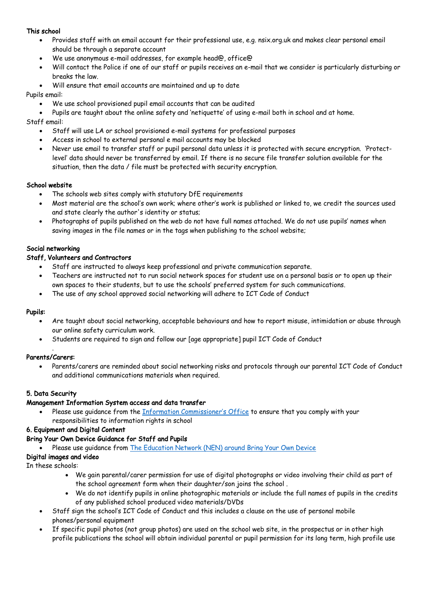#### This school

- Provides staff with an email account for their professional use, e.g. nsix.org.uk and makes clear personal email should be through a separate account
- We use anonymous e-mail addresses, for example head@, office@
- Will contact the Police if one of our staff or pupils receives an e-mail that we consider is particularly disturbing or breaks the law.
- Will ensure that email accounts are maintained and up to date

#### Pupils email:

- We use school provisioned pupil email accounts that can be audited
- Pupils are taught about the online safety and 'netiquette' of using e-mail both in school and at home.

Staff email:

- Staff will use LA or school provisioned e-mail systems for professional purposes
- Access in school to external personal e mail accounts may be blocked
- Never use email to transfer staff or pupil personal data unless it is protected with secure encryption. 'Protectlevel' data should never be transferred by email. If there is no secure file transfer solution available for the situation, then the data / file must be protected with security encryption.

#### School website

- The schools web sites comply with statutory DfE requirements
- Most material are the school's own work; where other's work is published or linked to, we credit the sources used and state clearly the author's identity or status;
- Photographs of pupils published on the web do not have full names attached. We do not use pupils' names when saving images in the file names or in the tags when publishing to the school website;

#### Social networking

#### Staff, Volunteers and Contractors

- Staff are instructed to always keep professional and private communication separate.
- Teachers are instructed not to run social network spaces for student use on a personal basis or to open up their own spaces to their students, but to use the schools' preferred system for such communications.
- The use of any school approved social networking will adhere to ICT Code of Conduct

#### Pupils:

- Are taught about social networking, acceptable behaviours and how to report misuse, intimidation or abuse through our online safety curriculum work.
- Students are required to sign and follow our [age appropriate] pupil ICT Code of Conduct

#### . Parents/Carers:

• Parents/carers are reminded about social networking risks and protocols through our parental ICT Code of Conduct and additional communications materials when required.

# 5. Data Security

#### Management Information System access and data transfer

• Please use guidance from the Information Commissioner's Office to ensure that you comply with your responsibilities to information rights in school

#### 6. Equipment and Digital Content

#### Bring Your Own Device Guidance for Staff and Pupils

• Please use guidance from The Education Network (NEN) around Bring Your Own Device

#### Digital images and video

In these schools:

- We gain parental/carer permission for use of digital photographs or video involving their child as part of the school agreement form when their daughter/son joins the school .
- We do not identify pupils in online photographic materials or include the full names of pupils in the credits of any published school produced video materials/DVDs
- Staff sign the school's ICT Code of Conduct and this includes a clause on the use of personal mobile phones/personal equipment
- If specific pupil photos (not group photos) are used on the school web site, in the prospectus or in other high profile publications the school will obtain individual parental or pupil permission for its long term, high profile use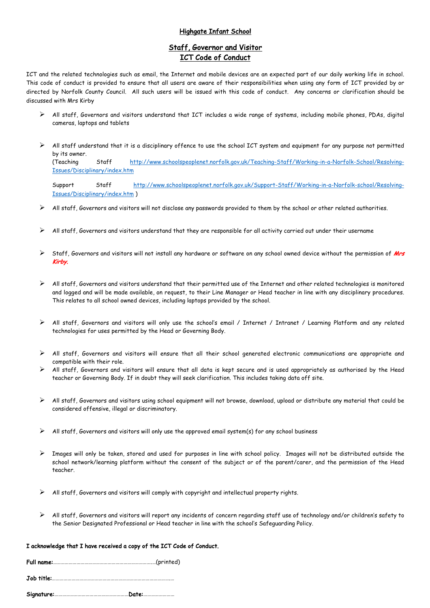#### Highgate Infant School

# Staff, Governor and Visitor ICT Code of Conduct

ICT and the related technologies such as email, the Internet and mobile devices are an expected part of our daily working life in school. This code of conduct is provided to ensure that all users are aware of their responsibilities when using any form of ICT provided by or directed by Norfolk County Council. All such users will be issued with this code of conduct. Any concerns or clarification should be discussed with Mrs Kirby

- Ø All staff, Governors and visitors understand that ICT includes a wide range of systems, including mobile phones, PDAs, digital cameras, laptops and tablets
- $\triangleright$  All staff understand that it is a disciplinary offence to use the school ICT system and equipment for any purpose not permitted by its owner.

(Teaching Staff http://www.schoolspeoplenet.norfolk.gov.uk/Teaching-Staff/Working-in-a-Norfolk-School/Resolving-Issues/Disciplinary/index.htm

Support Staff http://www.schoolspeoplenet.norfolk.gov.uk/Support-Staff/Working-in-a-Norfolk-school/Resolving-Issues/Disciplinary/index.htm )

- $\triangleright$  All staff, Governors and visitors will not disclose any passwords provided to them by the school or other related authorities.
- $\triangleright$  All staff, Governors and visitors understand that they are responsible for all activity carried out under their username
- Staff, Governors and visitors will not install any hardware or software on any school owned device without the permission of Mrs Kirby.
- $\triangleright$  All staff, Governors and visitors understand that their permitted use of the Internet and other related technologies is monitored and logged and will be made available, on request, to their Line Manager or Head teacher in line with any disciplinary procedures. This relates to all school owned devices, including laptops provided by the school.
- Ø All staff, Governors and visitors will only use the school's email / Internet / Intranet / Learning Platform and any related technologies for uses permitted by the Head or Governing Body.
- Ø All staff, Governors and visitors will ensure that all their school generated electronic communications are appropriate and compatible with their role.
- All staff, Governors and visitors will ensure that all data is kept secure and is used appropriately as authorised by the Head teacher or Governing Body. If in doubt they will seek clarification. This includes taking data off site.
- $\triangleright$  All staff, Governors and visitors using school equipment will not browse, download, upload or distribute any material that could be considered offensive, illegal or discriminatory.
- $\triangleright$  All staff, Governors and visitors will only use the approved email system(s) for any school business
- $\triangleright$  Images will only be taken, stored and used for purposes in line with school policy. Images will not be distributed outside the school network/learning platform without the consent of the subject or of the parent/carer, and the permission of the Head teacher.
- $\triangleright$  All staff, Governors and visitors will comply with copyright and intellectual property rights.
- $\triangleright$  All staff, Governors and visitors will report any incidents of concern regarding staff use of technology and/or children's safety to the Senior Designated Professional or Head teacher in line with the school's Safeguarding Policy.

#### I acknowledge that I have received a copy of the ICT Code of Conduct.

Full name:………………………………………………………………….…(printed)

Job title:……………………………………………………………………………….…

Signature:…………………………………………………Date:……………………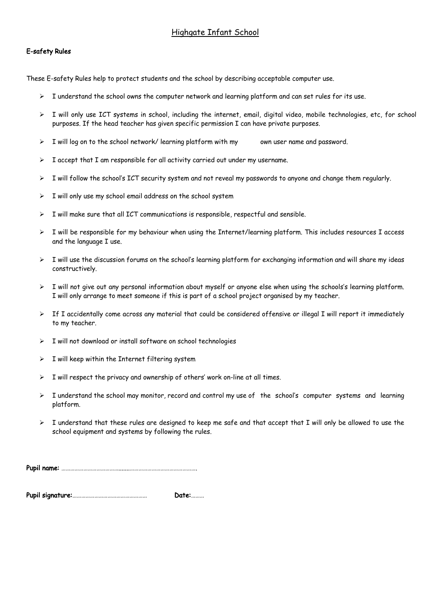# Highgate Infant School

#### E-safety Rules

These E-safety Rules help to protect students and the school by describing acceptable computer use.

- $\triangleright$  I understand the school owns the computer network and learning platform and can set rules for its use.
- Ø I will only use ICT systems in school, including the internet, email, digital video, mobile technologies, etc, for school purposes. If the head teacher has given specific permission I can have private purposes.
- $\triangleright$  I will log on to the school network/ learning platform with my own user name and password.
- $\triangleright$  I accept that I am responsible for all activity carried out under my username.
- $\triangleright$  I will follow the school's ICT security system and not reveal my passwords to anyone and change them regularly.
- $\triangleright$  I will only use my school email address on the school system
- I will make sure that all ICT communications is responsible, respectful and sensible.
- $\triangleright$  I will be responsible for my behaviour when using the Internet/learning platform. This includes resources I access and the language I use.
- $\triangleright$  I will use the discussion forums on the school's learning platform for exchanging information and will share my ideas constructively.
- $\triangleright$  I will not give out any personal information about myself or anyone else when using the schools's learning platform. I will only arrange to meet someone if this is part of a school project organised by my teacher.
- $\triangleright$  If I accidentally come across any material that could be considered offensive or illegal I will report it immediately to my teacher.
- $\triangleright$  I will not download or install software on school technologies
- $\triangleright$  I will keep within the Internet filtering system
- $\triangleright$  I will respect the privacy and ownership of others' work on-line at all times.
- $\triangleright$  I understand the school may monitor, record and control my use of the school's computer systems and learning platform.
- $\triangleright$  I understand that these rules are designed to keep me safe and that accept that I will only be allowed to use the school equipment and systems by following the rules.

Pupil name: ………………………………….......……………………………………….

Pupil signature:…………………………………………… Date:………